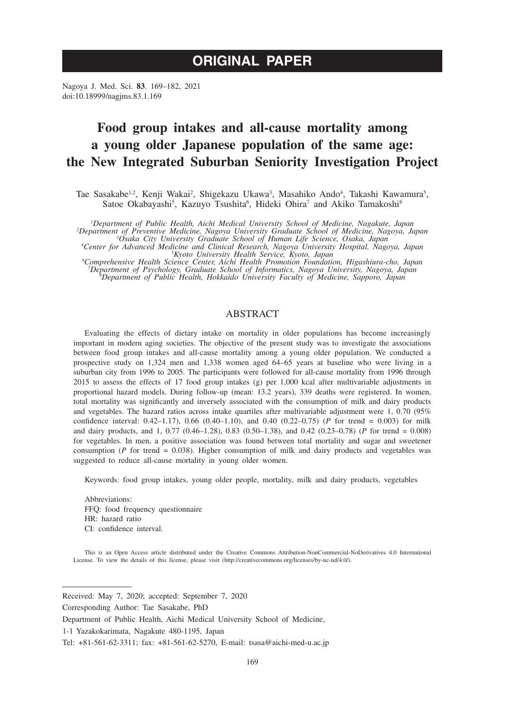# **ORIGINAL PAPER**

Nagoya J. Med. Sci. **83**. 169–182, 2021 doi:10.18999/nagjms.83.1.169

# **Food group intakes and all-cause mortality among a young older Japanese population of the same age: the New Integrated Suburban Seniority Investigation Project**

Tae Sasakabe<sup>1,2</sup>, Kenji Wakai<sup>2</sup>, Shigekazu Ukawa<sup>3</sup>, Masahiko Ando<sup>4</sup>, Takashi Kawamura<sup>5</sup>, Satoe Okabayashi<sup>5</sup>, Kazuyo Tsushita<sup>6</sup>, Hideki Ohira<sup>7</sup> and Akiko Tamakoshi<sup>8</sup>

<sup>1</sup>Department of Public Health, Aichi Medical University School of Medicine, Nagakute, Japan<br><sup>2</sup>Department of Preventive Medicine, Nagoya University Graduate School of Medicine, Nagoya, Japan<br><sup>2</sup>Department 30saka City Univ

*Osaka City University Graduate School of Human Life Science, Osaka, Japan <sup>4</sup>*

Center for Advanced Medicine and Clinical Research, Nagoya University Hospital, Nagoya, Japan<br><sup>5</sup>Kyoto University Health Service, Kyoto, Japan<br><sup>6</sup>Comprehensive Health Science Center, Aichi Health Promotion Foundation, Higa

*Department of Public Health, Hokkaido University Faculty of Medicine, Sapporo, Japan*

# ABSTRACT

Evaluating the effects of dietary intake on mortality in older populations has become increasingly important in modern aging societies. The objective of the present study was to investigate the associations between food group intakes and all-cause mortality among a young older population. We conducted a prospective study on 1,324 men and 1,338 women aged 64–65 years at baseline who were living in a suburban city from 1996 to 2005. The participants were followed for all-cause mortality from 1996 through 2015 to assess the effects of 17 food group intakes (g) per 1,000 kcal after multivariable adjustments in proportional hazard models. During follow-up (mean: 13.2 years), 339 deaths were registered. In women, total mortality was significantly and inversely associated with the consumption of milk and dairy products and vegetables. The hazard ratios across intake quartiles after multivariable adjustment were 1, 0.70 (95% confidence interval:  $0.42-1.17$ ),  $0.66$   $(0.40-1.10)$ , and  $0.40$   $(0.22-0.75)$  (*P* for trend = 0.003) for milk and dairy products, and 1, 0.77 (0.46–1.28), 0.83 (0.50–1.38), and 0.42 (0.23–0.78) (*P* for trend = 0.008) for vegetables. In men, a positive association was found between total mortality and sugar and sweetener consumption ( $P$  for trend = 0.038). Higher consumption of milk and dairy products and vegetables was suggested to reduce all-cause mortality in young older women.

Keywords: food group intakes, young older people, mortality, milk and dairy products, vegetables

Abbreviations: FFQ: food frequency questionnaire HR: hazard ratio CI: confidence interval.

This is an Open Access article distributed under the Creative Commons Attribution-NonCommercial-NoDerivatives 4.0 International License. To view the details of this license, please visit (http://creativecommons.org/licenses/by-nc-nd/4.0/).

Received: May 7, 2020; accepted: September 7, 2020

Corresponding Author: Tae Sasakabe, PhD

Department of Public Health, Aichi Medical University School of Medicine,

<sup>1-1</sup> Yazakokarimata, Nagakute 480-1195, Japan

Tel: +81-561-62-3311; fax: +81-561-62-5270, E-mail: tsasa@aichi-med-u.ac.jp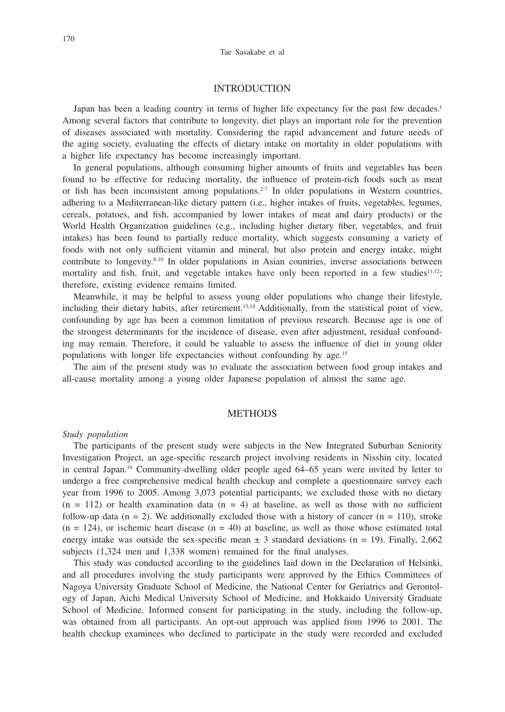### INTRODUCTION

Japan has been a leading country in terms of higher life expectancy for the past few decades.<sup>1</sup> Among several factors that contribute to longevity, diet plays an important role for the prevention of diseases associated with mortality. Considering the rapid advancement and future needs of the aging society, evaluating the effects of dietary intake on mortality in older populations with a higher life expectancy has become increasingly important.

In general populations, although consuming higher amounts of fruits and vegetables has been found to be effective for reducing mortality, the influence of protein-rich foods such as meat or fish has been inconsistent among populations.<sup>2-7</sup> In older populations in Western countries, adhering to a Mediterranean-like dietary pattern (i.e., higher intakes of fruits, vegetables, legumes, cereals, potatoes, and fish, accompanied by lower intakes of meat and dairy products) or the World Health Organization guidelines (e.g., including higher dietary fiber, vegetables, and fruit intakes) has been found to partially reduce mortality, which suggests consuming a variety of foods with not only sufficient vitamin and mineral, but also protein and energy intake, might contribute to longevity.<sup>8-10</sup> In older populations in Asian countries, inverse associations between mortality and fish, fruit, and vegetable intakes have only been reported in a few studies $1^{1,12}$ ; therefore, existing evidence remains limited.

Meanwhile, it may be helpful to assess young older populations who change their lifestyle, including their dietary habits, after retirement.<sup>13,14</sup> Additionally, from the statistical point of view, confounding by age has been a common limitation of previous research. Because age is one of the strongest determinants for the incidence of disease, even after adjustment, residual confounding may remain. Therefore, it could be valuable to assess the influence of diet in young older populations with longer life expectancies without confounding by age.15

The aim of the present study was to evaluate the association between food group intakes and all-cause mortality among a young older Japanese population of almost the same age.

## **METHODS**

#### *Study population*

The participants of the present study were subjects in the New Integrated Suburban Seniority Investigation Project, an age-specific research project involving residents in Nisshin city, located in central Japan.16 Community-dwelling older people aged 64–65 years were invited by letter to undergo a free comprehensive medical health checkup and complete a questionnaire survey each year from 1996 to 2005. Among 3,073 potential participants, we excluded those with no dietary  $(n = 112)$  or health examination data  $(n = 4)$  at baseline, as well as those with no sufficient follow-up data  $(n = 2)$ . We additionally excluded those with a history of cancer  $(n = 110)$ , stroke  $(n = 124)$ , or ischemic heart disease  $(n = 40)$  at baseline, as well as those whose estimated total energy intake was outside the sex-specific mean  $\pm$  3 standard deviations (n = 19). Finally, 2,662 subjects (1,324 men and 1,338 women) remained for the final analyses.

This study was conducted according to the guidelines laid down in the Declaration of Helsinki, and all procedures involving the study participants were approved by the Ethics Committees of Nagoya University Graduate School of Medicine, the National Center for Geriatrics and Gerontology of Japan, Aichi Medical University School of Medicine, and Hokkaido University Graduate School of Medicine. Informed consent for participating in the study, including the follow-up, was obtained from all participants. An opt-out approach was applied from 1996 to 2001. The health checkup examinees who declined to participate in the study were recorded and excluded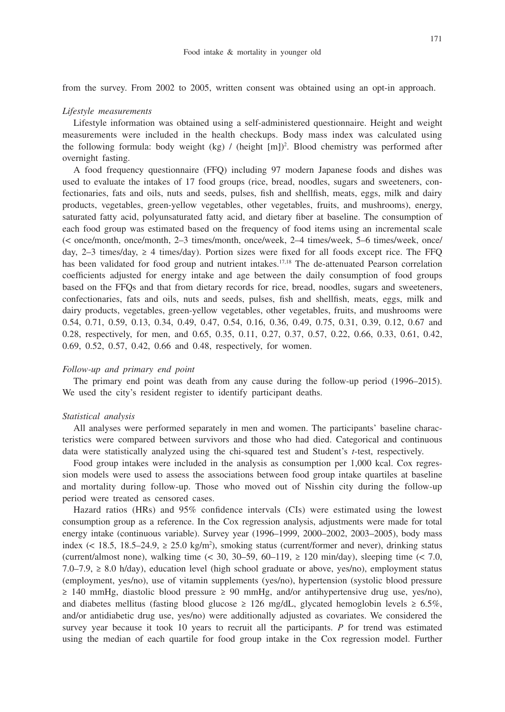from the survey. From 2002 to 2005, written consent was obtained using an opt-in approach.

#### *Lifestyle measurements*

Lifestyle information was obtained using a self-administered questionnaire. Height and weight measurements were included in the health checkups. Body mass index was calculated using the following formula: body weight (kg) / (height [m])<sup>2</sup>. Blood chemistry was performed after overnight fasting.

A food frequency questionnaire (FFQ) including 97 modern Japanese foods and dishes was used to evaluate the intakes of 17 food groups (rice, bread, noodles, sugars and sweeteners, confectionaries, fats and oils, nuts and seeds, pulses, fish and shellfish, meats, eggs, milk and dairy products, vegetables, green-yellow vegetables, other vegetables, fruits, and mushrooms), energy, saturated fatty acid, polyunsaturated fatty acid, and dietary fiber at baseline. The consumption of each food group was estimated based on the frequency of food items using an incremental scale (< once/month, once/month, 2–3 times/month, once/week, 2–4 times/week, 5–6 times/week, once/ day,  $2-3$  times/day,  $\geq 4$  times/day). Portion sizes were fixed for all foods except rice. The FFO has been validated for food group and nutrient intakes.<sup>17,18</sup> The de-attenuated Pearson correlation coefficients adjusted for energy intake and age between the daily consumption of food groups based on the FFQs and that from dietary records for rice, bread, noodles, sugars and sweeteners, confectionaries, fats and oils, nuts and seeds, pulses, fish and shellfish, meats, eggs, milk and dairy products, vegetables, green-yellow vegetables, other vegetables, fruits, and mushrooms were 0.54, 0.71, 0.59, 0.13, 0.34, 0.49, 0.47, 0.54, 0.16, 0.36, 0.49, 0.75, 0.31, 0.39, 0.12, 0.67 and 0.28, respectively, for men, and 0.65, 0.35, 0.11, 0.27, 0.37, 0.57, 0.22, 0.66, 0.33, 0.61, 0.42, 0.69, 0.52, 0.57, 0.42, 0.66 and 0.48, respectively, for women.

#### *Follow-up and primary end point*

The primary end point was death from any cause during the follow-up period (1996–2015). We used the city's resident register to identify participant deaths.

### *Statistical analysis*

All analyses were performed separately in men and women. The participants' baseline characteristics were compared between survivors and those who had died. Categorical and continuous data were statistically analyzed using the chi-squared test and Student's *t*-test, respectively.

Food group intakes were included in the analysis as consumption per 1,000 kcal. Cox regression models were used to assess the associations between food group intake quartiles at baseline and mortality during follow-up. Those who moved out of Nisshin city during the follow-up period were treated as censored cases.

Hazard ratios (HRs) and 95% confidence intervals (CIs) were estimated using the lowest consumption group as a reference. In the Cox regression analysis, adjustments were made for total energy intake (continuous variable). Survey year (1996–1999, 2000–2002, 2003–2005), body mass index (< 18.5, 18.5–24.9,  $\geq$  25.0 kg/m<sup>2</sup>), smoking status (current/former and never), drinking status (current/almost none), walking time  $\left($  < 30, 30–59, 60–119,  $\geq$  120 min/day), sleeping time  $\left($  < 7.0, 7.0–7.9, ≥ 8.0 h/day), education level (high school graduate or above, yes/no), employment status (employment, yes/no), use of vitamin supplements (yes/no), hypertension (systolic blood pressure ≥ 140 mmHg, diastolic blood pressure ≥ 90 mmHg, and/or antihypertensive drug use, yes/no), and diabetes mellitus (fasting blood glucose  $\geq 126$  mg/dL, glycated hemoglobin levels  $\geq 6.5\%$ , and/or antidiabetic drug use, yes/no) were additionally adjusted as covariates. We considered the survey year because it took 10 years to recruit all the participants. *P* for trend was estimated using the median of each quartile for food group intake in the Cox regression model. Further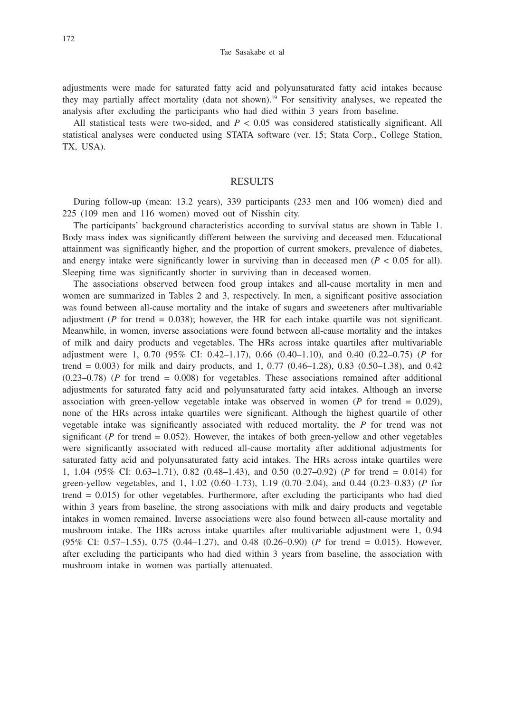Tae Sasakabe et al

adjustments were made for saturated fatty acid and polyunsaturated fatty acid intakes because they may partially affect mortality (data not shown).19 For sensitivity analyses, we repeated the analysis after excluding the participants who had died within 3 years from baseline.

All statistical tests were two-sided, and  $P < 0.05$  was considered statistically significant. All statistical analyses were conducted using STATA software (ver. 15; Stata Corp., College Station, TX, USA).

#### RESULTS

During follow-up (mean: 13.2 years), 339 participants (233 men and 106 women) died and 225 (109 men and 116 women) moved out of Nisshin city.

The participants' background characteristics according to survival status are shown in Table 1. Body mass index was significantly different between the surviving and deceased men. Educational attainment was significantly higher, and the proportion of current smokers, prevalence of diabetes, and energy intake were significantly lower in surviving than in deceased men  $(P < 0.05$  for all). Sleeping time was significantly shorter in surviving than in deceased women.

The associations observed between food group intakes and all-cause mortality in men and women are summarized in Tables 2 and 3, respectively. In men, a significant positive association was found between all-cause mortality and the intake of sugars and sweeteners after multivariable adjustment ( $P$  for trend = 0.038); however, the HR for each intake quartile was not significant. Meanwhile, in women, inverse associations were found between all-cause mortality and the intakes of milk and dairy products and vegetables. The HRs across intake quartiles after multivariable adjustment were 1, 0.70 (95% CI: 0.42–1.17), 0.66 (0.40–1.10), and 0.40 (0.22–0.75) (*P* for trend =  $0.003$ ) for milk and dairy products, and 1, 0.77 (0.46–1.28), 0.83 (0.50–1.38), and 0.42 (0.23–0.78) (*P* for trend = 0.008) for vegetables. These associations remained after additional adjustments for saturated fatty acid and polyunsaturated fatty acid intakes. Although an inverse association with green-yellow vegetable intake was observed in women  $(P \text{ for trend} = 0.029)$ , none of the HRs across intake quartiles were significant. Although the highest quartile of other vegetable intake was significantly associated with reduced mortality, the *P* for trend was not significant ( $P$  for trend  $= 0.052$ ). However, the intakes of both green-yellow and other vegetables were significantly associated with reduced all-cause mortality after additional adjustments for saturated fatty acid and polyunsaturated fatty acid intakes. The HRs across intake quartiles were 1, 1.04 (95% CI: 0.63–1.71), 0.82 (0.48–1.43), and 0.50 (0.27–0.92) (*P* for trend = 0.014) for green-yellow vegetables, and 1, 1.02 (0.60–1.73), 1.19 (0.70–2.04), and 0.44 (0.23–0.83) (*P* for trend = 0.015) for other vegetables. Furthermore, after excluding the participants who had died within 3 years from baseline, the strong associations with milk and dairy products and vegetable intakes in women remained. Inverse associations were also found between all-cause mortality and mushroom intake. The HRs across intake quartiles after multivariable adjustment were 1, 0.94 (95% CI: 0.57–1.55), 0.75 (0.44–1.27), and 0.48 (0.26–0.90) (*P* for trend = 0.015). However, after excluding the participants who had died within 3 years from baseline, the association with mushroom intake in women was partially attenuated.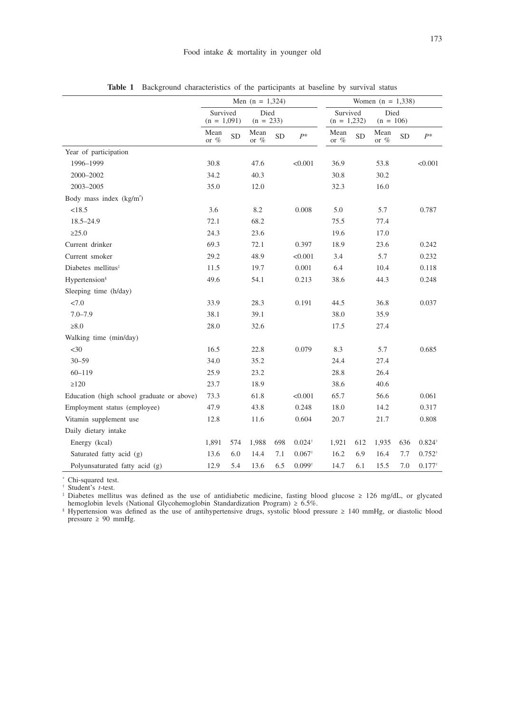|                                           | Men $(n = 1,324)$         |           |                     |           |                   |                           | Women $(n = 1,338)$ |                 |           |                   |  |  |
|-------------------------------------------|---------------------------|-----------|---------------------|-----------|-------------------|---------------------------|---------------------|-----------------|-----------|-------------------|--|--|
|                                           |                           |           |                     |           |                   |                           |                     |                 | Died      |                   |  |  |
|                                           | Survived<br>$(n = 1,091)$ |           | Died<br>$(n = 233)$ |           |                   | Survived<br>$(n = 1,232)$ |                     | $(n = 106)$     |           |                   |  |  |
|                                           | Mean<br>or %              | <b>SD</b> | Mean<br>or $\%$     | <b>SD</b> | $P^*$             | Mean<br>or $\%$           | <b>SD</b>           | Mean<br>or $\%$ | <b>SD</b> | $P^*$             |  |  |
| Year of participation                     |                           |           |                     |           |                   |                           |                     |                 |           |                   |  |  |
| 1996-1999                                 | 30.8                      |           | 47.6                |           | < 0.001           | 36.9                      |                     | 53.8            |           | < 0.001           |  |  |
| 2000-2002                                 | 34.2                      |           | 40.3                |           |                   | 30.8                      |                     | 30.2            |           |                   |  |  |
| 2003-2005                                 | 35.0                      |           | 12.0                |           |                   | 32.3                      |                     | 16.0            |           |                   |  |  |
| Body mass index $(kg/m2)$                 |                           |           |                     |           |                   |                           |                     |                 |           |                   |  |  |
| < 18.5                                    | 3.6                       |           | 8.2                 |           | 0.008             | 5.0                       |                     | 5.7             |           | 0.787             |  |  |
| $18.5 - 24.9$                             | 72.1                      |           | 68.2                |           |                   | 75.5                      |                     | 77.4            |           |                   |  |  |
| >25.0                                     | 24.3                      |           | 23.6                |           |                   | 19.6                      |                     | 17.0            |           |                   |  |  |
| Current drinker                           | 69.3                      |           | 72.1                |           | 0.397             | 18.9                      |                     | 23.6            |           | 0.242             |  |  |
| Current smoker                            | 29.2                      |           | 48.9                |           | < 0.001           | 3.4                       |                     | 5.7             |           | 0.232             |  |  |
| Diabetes mellitus <sup>#</sup>            | 11.5                      |           | 19.7                |           | 0.001             | 6.4                       |                     | 10.4            |           | 0.118             |  |  |
| Hypertension <sup>§</sup>                 | 49.6                      |           | 54.1                |           | 0.213             | 38.6                      |                     | 44.3            |           | 0.248             |  |  |
| Sleeping time (h/day)                     |                           |           |                     |           |                   |                           |                     |                 |           |                   |  |  |
| 27.0                                      | 33.9                      |           | 28.3                |           | 0.191             | 44.5                      |                     | 36.8            |           | 0.037             |  |  |
| $7.0 - 7.9$                               | 38.1                      |           | 39.1                |           |                   | 38.0                      |                     | 35.9            |           |                   |  |  |
| $\geq 8.0$                                | 28.0                      |           | 32.6                |           |                   | 17.5                      |                     | 27.4            |           |                   |  |  |
| Walking time (min/day)                    |                           |           |                     |           |                   |                           |                     |                 |           |                   |  |  |
| $<$ 30                                    | 16.5                      |           | 22.8                |           | 0.079             | 8.3                       |                     | 5.7             |           | 0.685             |  |  |
| $30 - 59$                                 | 34.0                      |           | 35.2                |           |                   | 24.4                      |                     | 27.4            |           |                   |  |  |
| $60 - 119$                                | 25.9                      |           | 23.2                |           |                   | 28.8                      |                     | 26.4            |           |                   |  |  |
| $\geq$ 120                                | 23.7                      |           | 18.9                |           |                   | 38.6                      |                     | 40.6            |           |                   |  |  |
| Education (high school graduate or above) | 73.3                      |           | 61.8                |           | < 0.001           | 65.7                      |                     | 56.6            |           | 0.061             |  |  |
| Employment status (employee)              | 47.9                      |           | 43.8                |           | 0.248             | 18.0                      |                     | 14.2            |           | 0.317             |  |  |
| Vitamin supplement use                    | 12.8                      |           | 11.6                |           | 0.604             | 20.7                      |                     | 21.7            |           | 0.808             |  |  |
| Daily dietary intake                      |                           |           |                     |           |                   |                           |                     |                 |           |                   |  |  |
| Energy (kcal)                             | 1,891                     | 574       | 1,988               | 698       | $0.024^{\dagger}$ | 1,921                     | 612                 | 1,935           | 636       | $0.824^{+}$       |  |  |
| Saturated fatty acid (g)                  | 13.6                      | 6.0       | 14.4                | 7.1       | $0.067^{\dagger}$ | 16.2                      | 6.9                 | 16.4            | 7.7       | $0.752^{\dagger}$ |  |  |
| Polyunsaturated fatty acid (g)            | 12.9                      | 5.4       | 13.6                | 6.5       | $0.099^{\dagger}$ | 14.7                      | 6.1                 | 15.5            | 7.0       | $0.177^{+}$       |  |  |

**Table 1** Background characteristics of the participants at baseline by survival status

\* Chi-squared test. † Student's *t*-test.

‡ Diabetes mellitus was defined as the use of antidiabetic medicine, fasting blood glucose ≥ 126 mg/dL, or glycated hemoglobin levels (National Glycohemoglobin Standardization Program) ≥ 6.5%.<br>§ Hypertension was defined as the use of antihypertensive drugs, systolic blood pressure ≥ 140 mmHg, or diastolic blood

pressure ≥ 90 mmHg.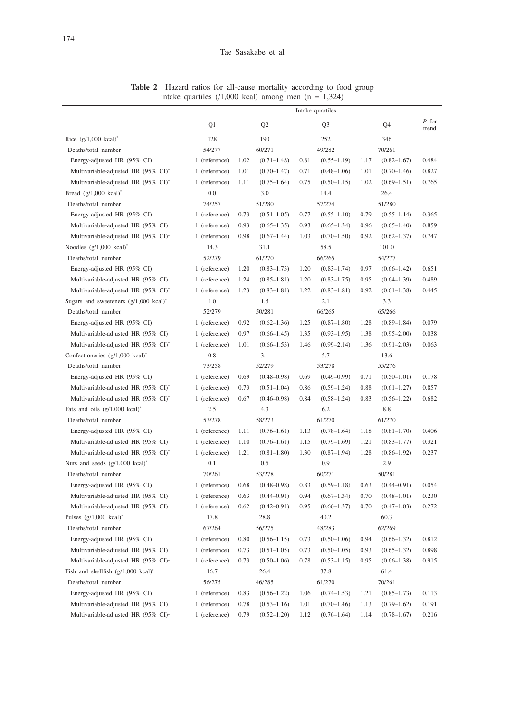**Table 2** Hazard ratios for all-cause mortality according to food group intake quartiles (/1,000 kcal) among men (n = 1,324)

|                                                          | Intake quartiles |      |                 |      |                 |      |                 |                  |
|----------------------------------------------------------|------------------|------|-----------------|------|-----------------|------|-----------------|------------------|
|                                                          | Q1               |      | Q <sub>2</sub>  |      | Q <sub>3</sub>  |      | Q4              | $P$ for<br>trend |
| Rice $(g/1,000 \text{ kcal})^*$                          | 128              | 190  |                 | 252  |                 | 346  |                 |                  |
| Deaths/total number                                      | 54/277           |      | 60/271          |      | 49/282          |      | 70/261          |                  |
| Energy-adjusted HR (95% CI)                              | 1 (reference)    | 1.02 | $(0.71 - 1.48)$ | 0.81 | $(0.55 - 1.19)$ | 1.17 | $(0.82 - 1.67)$ | 0.484            |
| Multivariable-adjusted HR (95% CI) <sup>†</sup>          | 1 (reference)    | 1.01 | $(0.70 - 1.47)$ | 0.71 | $(0.48 - 1.06)$ | 1.01 | $(0.70 - 1.46)$ | 0.827            |
| Multivariable-adjusted HR (95% CI) <sup>‡</sup>          | 1 (reference)    | 1.11 | $(0.75 - 1.64)$ | 0.75 | $(0.50 - 1.15)$ | 1.02 | $(0.69 - 1.51)$ | 0.765            |
| Bread $(g/1,000 \text{ kcal})^*$                         | 0.0              |      | 3.0             |      | 14.4            |      | 26.4            |                  |
| Deaths/total number                                      | 74/257           |      | 51/280          |      | 57/274          |      | 51/280          |                  |
| Energy-adjusted HR (95% CI)                              | 1 (reference)    | 0.73 | $(0.51 - 1.05)$ | 0.77 | $(0.55 - 1.10)$ | 0.79 | $(0.55 - 1.14)$ | 0.365            |
| Multivariable-adjusted HR (95% CI) <sup>†</sup>          | 1 (reference)    | 0.93 | $(0.65 - 1.35)$ | 0.93 | $(0.65 - 1.34)$ | 0.96 | $(0.65 - 1.40)$ | 0.859            |
| Multivariable-adjusted HR (95% CI) <sup>‡</sup>          | 1 (reference)    | 0.98 | $(0.67 - 1.44)$ | 1.03 | $(0.70 - 1.50)$ | 0.92 | $(0.62 - 1.37)$ | 0.747            |
| Noodles (g/1,000 kcal)*                                  | 14.3             |      | 31.1            |      | 58.5            |      | 101.0           |                  |
| Deaths/total number                                      | 52/279           |      | 61/270          |      | 66/265          |      | 54/277          |                  |
| Energy-adjusted HR (95% CI)                              | 1 (reference)    | 1.20 | $(0.83 - 1.73)$ | 1.20 | $(0.83 - 1.74)$ | 0.97 | $(0.66 - 1.42)$ | 0.651            |
| Multivariable-adjusted HR (95% CI) <sup>†</sup>          | 1 (reference)    | 1.24 | $(0.85 - 1.81)$ | 1.20 | $(0.83 - 1.75)$ | 0.95 | $(0.64 - 1.39)$ | 0.489            |
| Multivariable-adjusted HR (95% CI) <sup>‡</sup>          | 1 (reference)    | 1.23 | $(0.83 - 1.81)$ | 1.22 | $(0.83 - 1.81)$ | 0.92 | $(0.61 - 1.38)$ | 0.445            |
| Sugars and sweeteners $(g/1,000 \text{ kcal})^*$         | 1.0              |      | 1.5             |      | 2.1             |      | 3.3             |                  |
| Deaths/total number                                      | 52/279           |      | 50/281          |      | 66/265          |      | 65/266          |                  |
| Energy-adjusted HR (95% CI)                              | 1 (reference)    | 0.92 | $(0.62 - 1.36)$ | 1.25 | $(0.87 - 1.80)$ | 1.28 | $(0.89 - 1.84)$ | 0.079            |
| Multivariable-adjusted HR (95% CI) <sup>†</sup>          | 1 (reference)    | 0.97 | $(0.66 - 1.45)$ | 1.35 | $(0.93 - 1.95)$ | 1.38 | $(0.95 - 2.00)$ | 0.038            |
| Multivariable-adjusted HR (95% CI) <sup>‡</sup>          | 1 (reference)    | 1.01 | $(0.66 - 1.53)$ | 1.46 | $(0.99 - 2.14)$ | 1.36 | $(0.91 - 2.03)$ | 0.063            |
| Confectioneries (g/1,000 kcal)*                          | 0.8              |      | 3.1             |      | 5.7             |      | 13.6            |                  |
| Deaths/total number                                      | 73/258           |      | 52/279          |      | 53/278          |      | 55/276          |                  |
| Energy-adjusted HR (95% CI)                              | 1 (reference)    | 0.69 | $(0.48 - 0.98)$ | 0.69 | $(0.49 - 0.99)$ | 0.71 | $(0.50 - 1.01)$ | 0.178            |
| Multivariable-adjusted HR (95% CI) <sup>†</sup>          | 1 (reference)    | 0.73 | $(0.51 - 1.04)$ | 0.86 | $(0.59 - 1.24)$ | 0.88 | $(0.61 - 1.27)$ | 0.857            |
| Multivariable-adjusted HR (95% CI) <sup>‡</sup>          | 1 (reference)    | 0.67 | $(0.46 - 0.98)$ | 0.84 | $(0.58 - 1.24)$ | 0.83 | $(0.56 - 1.22)$ | 0.682            |
| Fats and oils $(g/1,000 \text{ kcal})^*$                 | 2.5              |      | 4.3             |      | 6.2             |      | 8.8             |                  |
| Deaths/total number                                      | 53/278           |      | 58/273          |      | 61/270          |      | 61/270          |                  |
| Energy-adjusted HR (95% CI)                              | 1 (reference)    | 1.11 | $(0.76 - 1.61)$ | 1.13 | $(0.78 - 1.64)$ | 1.18 | $(0.81 - 1.70)$ | 0.406            |
| Multivariable-adjusted HR (95% CI) <sup>†</sup>          | 1 (reference)    | 1.10 | $(0.76 - 1.61)$ | 1.15 | $(0.79 - 1.69)$ | 1.21 | $(0.83 - 1.77)$ | 0.321            |
| Multivariable-adjusted HR $(95\% \text{ CI})^{\ddagger}$ | 1 (reference)    | 1.21 | $(0.81 - 1.80)$ | 1.30 | $(0.87 - 1.94)$ | 1.28 | $(0.86 - 1.92)$ | 0.237            |
| Nuts and seeds $(g/1,000 \text{ kcal})^*$                | 0.1              |      | 0.5             |      | 0.9             |      | 2.9             |                  |
| Deaths/total number                                      | 70/261           |      | 53/278          |      | 60/271          |      | 50/281          |                  |
| Energy-adjusted HR (95% CI)                              | 1 (reference)    | 0.68 | $(0.48 - 0.98)$ | 0.83 | $(0.59 - 1.18)$ | 0.63 | $(0.44 - 0.91)$ | 0.054            |
| Multivariable-adjusted HR (95% CI) <sup>†</sup>          | 1 (reference)    | 0.63 | $(0.44 - 0.91)$ | 0.94 | $(0.67 - 1.34)$ | 0.70 | $(0.48 - 1.01)$ | 0.230            |
| Multivariable-adjusted HR (95% CI) <sup>‡</sup>          | 1 (reference)    | 0.62 | $(0.42 - 0.91)$ | 0.95 | $(0.66 - 1.37)$ | 0.70 | $(0.47 - 1.03)$ | 0.272            |
| Pulses $(g/1,000 \text{ kcal})^*$                        | 17.8             |      | 28.8            |      | 40.2            |      | 60.3            |                  |
| Deaths/total number                                      | 67/264           |      | 56/275          |      | 48/283          |      | 62/269          |                  |
| Energy-adjusted HR (95% CI)                              | 1 (reference)    | 0.80 | $(0.56 - 1.15)$ | 0.73 | $(0.50 - 1.06)$ | 0.94 | $(0.66 - 1.32)$ | 0.812            |
| Multivariable-adjusted HR (95% CI) <sup>†</sup>          | 1 (reference)    | 0.73 | $(0.51 - 1.05)$ | 0.73 | $(0.50-1.05)$   | 0.93 | $(0.65 - 1.32)$ | 0.898            |
| Multivariable-adjusted HR (95% CI) <sup>‡</sup>          | 1 (reference)    | 0.73 | $(0.50 - 1.06)$ | 0.78 | $(0.53 - 1.15)$ | 0.95 | $(0.66 - 1.38)$ | 0.915            |
| Fish and shellfish $(g/1,000 \text{ kcal})^*$            | 16.7             |      | 26.4            |      | 37.8            |      | 61.4            |                  |
| Deaths/total number                                      | 56/275           |      | 46/285          |      | 61/270          |      | 70/261          |                  |
| Energy-adjusted HR (95% CI)                              | 1 (reference)    | 0.83 | $(0.56 - 1.22)$ | 1.06 | $(0.74 - 1.53)$ | 1.21 | $(0.85 - 1.73)$ | 0.113            |
| Multivariable-adjusted HR (95% CI) <sup>†</sup>          | 1 (reference)    | 0.78 | $(0.53 - 1.16)$ | 1.01 | $(0.70 - 1.46)$ | 1.13 | $(0.79 - 1.62)$ | 0.191            |
| Multivariable-adjusted HR (95% CI) <sup>‡</sup>          | 1 (reference)    | 0.79 | $(0.52 - 1.20)$ | 1.12 | $(0.76 - 1.64)$ | 1.14 | $(0.78 - 1.67)$ | 0.216            |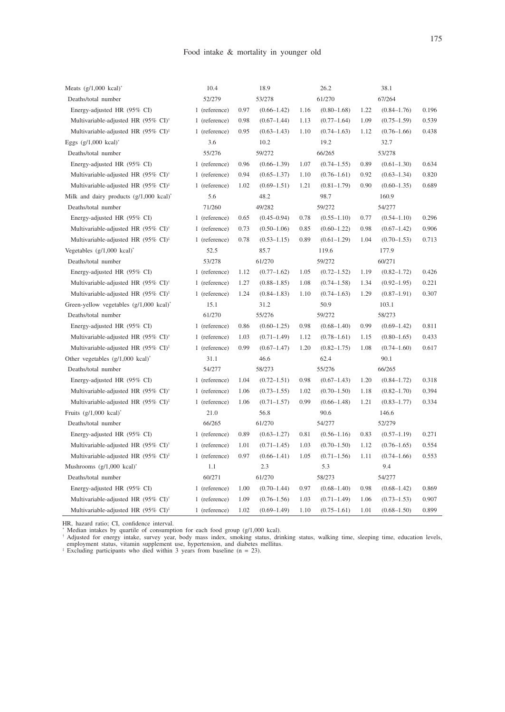| Meats $(g/1,000 \text{ kcal})^*$                   | 10.4          | 18.9 |                 | 26.2 |                 | 38.1 |                 |       |
|----------------------------------------------------|---------------|------|-----------------|------|-----------------|------|-----------------|-------|
| Deaths/total number                                | 52/279        |      | 53/278          |      | 61/270          |      | 67/264          |       |
| Energy-adjusted HR (95% CI)                        | 1 (reference) | 0.97 | $(0.66 - 1.42)$ | 1.16 | $(0.80 - 1.68)$ | 1.22 | $(0.84 - 1.76)$ | 0.196 |
| Multivariable-adjusted HR (95% CI) <sup>†</sup>    | 1 (reference) | 0.98 | $(0.67 - 1.44)$ | 1.13 | $(0.77 - 1.64)$ | 1.09 | $(0.75 - 1.59)$ | 0.539 |
| Multivariable-adjusted HR (95% CI) <sup>‡</sup>    | 1 (reference) | 0.95 | $(0.63 - 1.43)$ | 1.10 | $(0.74 - 1.63)$ | 1.12 | $(0.76 - 1.66)$ | 0.438 |
| Eggs $(g/1,000 \text{ kcal})$ <sup>*</sup>         | 3.6           |      | 10.2            |      | 19.2            |      | 32.7            |       |
| Deaths/total number                                | 55/276        |      | 59/272          |      | 66/265          |      | 53/278          |       |
| Energy-adjusted HR (95% CI)                        | 1 (reference) | 0.96 | $(0.66 - 1.39)$ | 1.07 | $(0.74 - 1.55)$ | 0.89 | $(0.61 - 1.30)$ | 0.634 |
| Multivariable-adjusted HR (95% CI) <sup>†</sup>    | 1 (reference) | 0.94 | $(0.65 - 1.37)$ | 1.10 | $(0.76 - 1.61)$ | 0.92 | $(0.63 - 1.34)$ | 0.820 |
| Multivariable-adjusted HR (95% CI) <sup>‡</sup>    | 1 (reference) | 1.02 | $(0.69 - 1.51)$ | 1.21 | $(0.81 - 1.79)$ | 0.90 | $(0.60 - 1.35)$ | 0.689 |
| Milk and dairy products $(g/1,000 \text{ kcal})^*$ | 5.6           |      | 48.2            |      | 98.7            |      | 160.9           |       |
| Deaths/total number                                | 71/260        |      | 49/282          |      | 59/272          |      | 54/277          |       |
| Energy-adjusted HR (95% CI)                        | 1 (reference) | 0.65 | $(0.45 - 0.94)$ | 0.78 | $(0.55 - 1.10)$ | 0.77 | $(0.54 - 1.10)$ | 0.296 |
| Multivariable-adjusted HR (95% CI) <sup>†</sup>    | 1 (reference) | 0.73 | $(0.50 - 1.06)$ | 0.85 | $(0.60 - 1.22)$ | 0.98 | $(0.67 - 1.42)$ | 0.906 |
| Multivariable-adjusted HR (95% CI) <sup>‡</sup>    | 1 (reference) | 0.78 | $(0.53 - 1.15)$ | 0.89 | $(0.61 - 1.29)$ | 1.04 | $(0.70 - 1.53)$ | 0.713 |
| Vegetables (g/1,000 kcal)*                         | 52.5          |      | 85.7            |      | 119.6           |      | 177.9           |       |
| Deaths/total number                                | 53/278        |      | 61/270          |      | 59/272          |      | 60/271          |       |
| Energy-adjusted HR (95% CI)                        | 1 (reference) | 1.12 | $(0.77 - 1.62)$ | 1.05 | $(0.72 - 1.52)$ | 1.19 | $(0.82 - 1.72)$ | 0.426 |
| Multivariable-adjusted HR (95% CI) <sup>†</sup>    | 1 (reference) | 1.27 | $(0.88 - 1.85)$ | 1.08 | $(0.74 - 1.58)$ | 1.34 | $(0.92 - 1.95)$ | 0.221 |
| Multivariable-adjusted HR (95% CI) <sup>‡</sup>    | 1 (reference) | 1.24 | $(0.84 - 1.83)$ | 1.10 | $(0.74 - 1.63)$ | 1.29 | $(0.87 - 1.91)$ | 0.307 |
| Green-yellow vegetables $(g/1,000 \text{ kcal})^*$ | 15.1          |      | 31.2            |      | 50.9            |      | 103.1           |       |
| Deaths/total number                                | 61/270        |      | 55/276          |      | 59/272          |      | 58/273          |       |
| Energy-adjusted HR (95% CI)                        | 1 (reference) | 0.86 | $(0.60 - 1.25)$ | 0.98 | $(0.68 - 1.40)$ | 0.99 | $(0.69 - 1.42)$ | 0.811 |
| Multivariable-adjusted HR (95% CI) <sup>†</sup>    | 1 (reference) | 1.03 | $(0.71 - 1.49)$ | 1.12 | $(0.78 - 1.61)$ | 1.15 | $(0.80 - 1.65)$ | 0.433 |
| Multivariable-adjusted HR (95% CI) <sup>‡</sup>    | 1 (reference) | 0.99 | $(0.67 - 1.47)$ | 1.20 | $(0.82 - 1.75)$ | 1.08 | $(0.74 - 1.60)$ | 0.617 |
| Other vegetables (g/1,000 kcal)*                   |               |      |                 |      |                 |      |                 |       |
|                                                    | 31.1          |      | 46.6            |      | 62.4            |      | 90.1            |       |
| Deaths/total number                                | 54/277        |      | 58/273          |      | 55/276          |      | 66/265          |       |
| Energy-adjusted HR (95% CI)                        | 1 (reference) | 1.04 | $(0.72 - 1.51)$ | 0.98 | $(0.67 - 1.43)$ | 1.20 | $(0.84 - 1.72)$ | 0.318 |
| Multivariable-adjusted HR (95% CI) <sup>†</sup>    | 1 (reference) | 1.06 | $(0.73 - 1.55)$ | 1.02 | $(0.70 - 1.50)$ | 1.18 | $(0.82 - 1.70)$ | 0.394 |
| Multivariable-adjusted HR (95% CI) <sup>‡</sup>    | 1 (reference) | 1.06 | $(0.71 - 1.57)$ | 0.99 | $(0.66 - 1.48)$ | 1.21 | $(0.83 - 1.77)$ | 0.334 |
| Fruits $(g/1,000 \text{ kcal})^*$                  | 21.0          |      | 56.8            |      | 90.6            |      | 146.6           |       |
| Deaths/total number                                | 66/265        |      | 61/270          |      | 54/277          |      | 52/279          |       |
| Energy-adjusted HR (95% CI)                        | 1 (reference) | 0.89 | $(0.63 - 1.27)$ | 0.81 | $(0.56 - 1.16)$ | 0.83 | $(0.57-1.19)$   | 0.271 |
| Multivariable-adjusted HR (95% CI) <sup>†</sup>    | 1 (reference) | 1.01 | $(0.71 - 1.45)$ | 1.03 | $(0.70 - 1.50)$ | 1.12 | $(0.76 - 1.65)$ | 0.554 |
| Multivariable-adjusted HR (95% CI) <sup>‡</sup>    | 1 (reference) | 0.97 | $(0.66 - 1.41)$ | 1.05 | $(0.71 - 1.56)$ | 1.11 | $(0.74 - 1.66)$ | 0.553 |
| Mushrooms $(g/1,000 \text{ kcal})^*$               | 1.1           |      | 2.3             |      | 5.3             |      | 9.4             |       |
| Deaths/total number                                | 60/271        |      | 61/270          |      | 58/273          |      | 54/277          |       |
| Energy-adjusted HR (95% CI)                        | 1 (reference) | 1.00 | $(0.70 - 1.44)$ | 0.97 | $(0.68 - 1.40)$ | 0.98 | $(0.68 - 1.42)$ | 0.869 |
| Multivariable-adjusted HR (95% CI) <sup>†</sup>    | 1 (reference) | 1.09 | $(0.76 - 1.56)$ | 1.03 | $(0.71 - 1.49)$ | 1.06 | $(0.73 - 1.53)$ | 0.907 |

HR, hazard ratio; CI, confidence interval.<br>
"Median intakes by quartile of consumption for each food group (g/1,000 kcal).<br>
"Adjusted for energy intake, survey year, body mass index, smoking status, drinking status, walki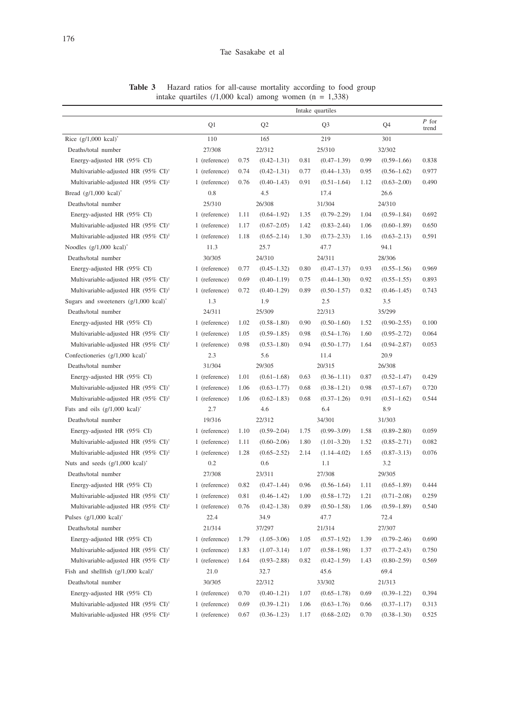**Table 3** Hazard ratios for all-cause mortality according to food group intake quartiles  $(1,000 \text{ kcal})$  among women  $(n = 1,338)$ 

|                                                          | Intake quartiles |      |                 |      |                 |      |                 |                  |
|----------------------------------------------------------|------------------|------|-----------------|------|-----------------|------|-----------------|------------------|
|                                                          | Q1               |      | Q <sub>2</sub>  |      | Q <sub>3</sub>  |      | Q4              | $P$ for<br>trend |
| Rice $(g/1,000 \text{ kcal})^*$                          | 110              |      | 165             | 219  |                 | 301  |                 |                  |
| Deaths/total number                                      | 27/308           |      | 22/312          |      | 25/310          |      | 32/302          |                  |
| Energy-adjusted HR (95% CI)                              | 1 (reference)    | 0.75 | $(0.42 - 1.31)$ | 0.81 | $(0.47 - 1.39)$ | 0.99 | $(0.59 - 1.66)$ | 0.838            |
| Multivariable-adjusted HR (95% CI) <sup>†</sup>          | 1 (reference)    | 0.74 | $(0.42 - 1.31)$ | 0.77 | $(0.44 - 1.33)$ | 0.95 | $(0.56 - 1.62)$ | 0.977            |
| Multivariable-adjusted HR (95% CI) <sup>‡</sup>          | 1 (reference)    | 0.76 | $(0.40 - 1.43)$ | 0.91 | $(0.51 - 1.64)$ | 1.12 | $(0.63 - 2.00)$ | 0.490            |
| Bread $(g/1,000 \text{ kcal})^*$                         | 0.8              |      | 4.5             |      | 17.4            |      | 26.6            |                  |
| Deaths/total number                                      | 25/310           |      | 26/308          |      | 31/304          |      | 24/310          |                  |
| Energy-adjusted HR (95% CI)                              | 1 (reference)    | 1.11 | $(0.64 - 1.92)$ | 1.35 | $(0.79 - 2.29)$ | 1.04 | $(0.59 - 1.84)$ | 0.692            |
| Multivariable-adjusted HR (95% CI) <sup>+</sup>          | 1 (reference)    | 1.17 | $(0.67 - 2.05)$ | 1.42 | $(0.83 - 2.44)$ | 1.06 | $(0.60 - 1.89)$ | 0.650            |
| Multivariable-adjusted HR (95% CI) <sup>‡</sup>          | 1 (reference)    | 1.18 | $(0.65 - 2.14)$ | 1.30 | $(0.73 - 2.33)$ | 1.16 | $(0.63 - 2.13)$ | 0.591            |
| Noodles $(g/1,000 \text{ kcal})^*$                       | 11.3             |      | 25.7            |      | 47.7            |      | 94.1            |                  |
| Deaths/total number                                      | 30/305           |      | 24/310          |      | 24/311          |      | 28/306          |                  |
| Energy-adjusted HR (95% CI)                              | 1 (reference)    | 0.77 | $(0.45 - 1.32)$ | 0.80 | $(0.47 - 1.37)$ | 0.93 | $(0.55 - 1.56)$ | 0.969            |
| Multivariable-adjusted HR (95% CI) <sup>†</sup>          | 1 (reference)    | 0.69 | $(0.40 - 1.19)$ | 0.75 | $(0.44 - 1.30)$ | 0.92 | $(0.55 - 1.55)$ | 0.893            |
| Multivariable-adjusted HR (95% CI) <sup>‡</sup>          | 1 (reference)    | 0.72 | $(0.40 - 1.29)$ | 0.89 | $(0.50 - 1.57)$ | 0.82 | $(0.46 - 1.45)$ | 0.743            |
| Sugars and sweeteners $(g/1,000 \text{ kcal})^*$         | 1.3              |      | 1.9             |      | 2.5             |      | 3.5             |                  |
| Deaths/total number                                      | 24/311           |      | 25/309          |      | 22/313          |      | 35/299          |                  |
| Energy-adjusted HR (95% CI)                              | 1 (reference)    | 1.02 | $(0.58 - 1.80)$ | 0.90 | $(0.50 - 1.60)$ | 1.52 | $(0.90 - 2.55)$ | 0.100            |
| Multivariable-adjusted HR (95% CI) <sup>†</sup>          | 1 (reference)    | 1.05 | $(0.59 - 1.85)$ | 0.98 | $(0.54 - 1.76)$ | 1.60 | $(0.95 - 2.72)$ | 0.064            |
| Multivariable-adjusted HR (95% CI) <sup>‡</sup>          | 1 (reference)    | 0.98 | $(0.53 - 1.80)$ | 0.94 | $(0.50 - 1.77)$ | 1.64 | $(0.94 - 2.87)$ | 0.053            |
| Confectioneries $(g/1,000 \text{ kcal})^*$               | 2.3              |      | 5.6             |      | 11.4            |      | 20.9            |                  |
| Deaths/total number                                      | 31/304           |      | 29/305          |      | 20/315          |      | 26/308          |                  |
| Energy-adjusted HR (95% CI)                              | 1 (reference)    | 1.01 | $(0.61 - 1.68)$ | 0.63 | $(0.36 - 1.11)$ | 0.87 | $(0.52 - 1.47)$ | 0.429            |
| Multivariable-adjusted HR (95% CI) <sup>†</sup>          | 1 (reference)    | 1.06 | $(0.63 - 1.77)$ | 0.68 | $(0.38 - 1.21)$ | 0.98 | $(0.57 - 1.67)$ | 0.720            |
| Multivariable-adjusted HR (95% CI) <sup>‡</sup>          | 1 (reference)    | 1.06 | $(0.62 - 1.83)$ | 0.68 | $(0.37 - 1.26)$ | 0.91 | $(0.51 - 1.62)$ | 0.544            |
| Fats and oils $(g/1,000 \text{ kcal})^*$                 | 2.7              |      | 4.6             |      | 6.4             |      | 8.9             |                  |
| Deaths/total number                                      | 19/316           |      | 22/312          |      | 34/301          |      | 31/303          |                  |
| Energy-adjusted HR (95% CI)                              | 1 (reference)    | 1.10 | $(0.59 - 2.04)$ | 1.75 | $(0.99 - 3.09)$ | 1.58 | $(0.89 - 2.80)$ | 0.059            |
| Multivariable-adjusted HR (95% CI) <sup>†</sup>          | 1 (reference)    | 1.11 | $(0.60 - 2.06)$ | 1.80 | $(1.01 - 3.20)$ | 1.52 | $(0.85 - 2.71)$ | 0.082            |
| Multivariable-adjusted HR $(95\% \text{ CI})^{\ddagger}$ | 1 (reference)    | 1.28 | $(0.65 - 2.52)$ | 2.14 | $(1.14 - 4.02)$ | 1.65 | $(0.87 - 3.13)$ | 0.076            |
| Nuts and seeds $(g/1,000 \text{ kcal})^*$                | 0.2              |      | 0.6             |      | 1.1             |      | 3.2             |                  |
| Deaths/total number                                      | 27/308           |      | 23/311          |      | 27/308          |      | 29/305          |                  |
| Energy-adjusted HR (95% CI)                              | 1 (reference)    | 0.82 | $(0.47 - 1.44)$ | 0.96 | $(0.56 - 1.64)$ | 1.11 | $(0.65 - 1.89)$ | 0.444            |
| Multivariable-adjusted HR (95% CI) <sup>†</sup>          | 1 (reference)    | 0.81 | $(0.46 - 1.42)$ | 1.00 | $(0.58 - 1.72)$ | 1.21 | $(0.71 - 2.08)$ | 0.259            |
| Multivariable-adjusted HR (95% CI) <sup>‡</sup>          | 1 (reference)    | 0.76 | $(0.42 - 1.38)$ | 0.89 | $(0.50 - 1.58)$ | 1.06 | $(0.59 - 1.89)$ | 0.540            |
| Pulses $(g/1,000 \text{ kcal})^*$                        | 22.4             |      | 34.9            | 47.7 |                 |      | 72.4            |                  |
| Deaths/total number                                      | 21/314           |      | 37/297          |      | 21/314          |      | 27/307          |                  |
| Energy-adjusted HR (95% CI)                              | 1 (reference)    | 1.79 | $(1.05 - 3.06)$ | 1.05 | $(0.57 - 1.92)$ | 1.39 | $(0.79 - 2.46)$ | 0.690            |
| Multivariable-adjusted HR (95% CI) <sup>†</sup>          | 1 (reference)    | 1.83 | $(1.07-3.14)$   | 1.07 | $(0.58 - 1.98)$ | 1.37 | $(0.77 - 2.43)$ | 0.750            |
| Multivariable-adjusted HR (95% CI) <sup>‡</sup>          | 1 (reference)    | 1.64 | $(0.93 - 2.88)$ | 0.82 | $(0.42 - 1.59)$ | 1.43 | $(0.80 - 2.59)$ | 0.569            |
| Fish and shellfish $(g/1,000 \text{ kcal})^*$            | 21.0             |      | 32.7            |      | 45.6            |      | 69.4            |                  |
| Deaths/total number                                      | 30/305           |      | 22/312          |      | 33/302          |      | 21/313          |                  |
| Energy-adjusted HR (95% CI)                              | 1 (reference)    | 0.70 | $(0.40 - 1.21)$ | 1.07 | $(0.65 - 1.78)$ | 0.69 | $(0.39 - 1.22)$ | 0.394            |
| Multivariable-adjusted HR (95% CI) <sup>†</sup>          | 1 (reference)    | 0.69 | $(0.39 - 1.21)$ | 1.06 | $(0.63 - 1.76)$ | 0.66 | $(0.37 - 1.17)$ | 0.313            |
| Multivariable-adjusted HR (95% CI) <sup>‡</sup>          | 1 (reference)    | 0.67 | $(0.36 - 1.23)$ | 1.17 | $(0.68 - 2.02)$ | 0.70 | $(0.38 - 1.30)$ | 0.525            |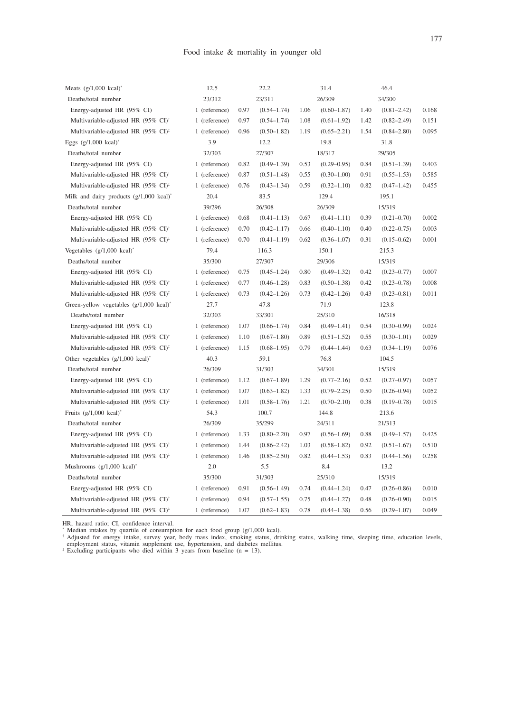| Meats $(g/1,000 \text{ kcal})^*$                   | 12.5          | 22.2 |                 | 31.4 |                 | 46.4 |                 |       |
|----------------------------------------------------|---------------|------|-----------------|------|-----------------|------|-----------------|-------|
| Deaths/total number                                | 23/312        |      | 23/311          |      | 26/309          |      | 34/300          |       |
| Energy-adjusted HR (95% CI)                        | 1 (reference) | 0.97 | $(0.54 - 1.74)$ | 1.06 | $(0.60 - 1.87)$ | 1.40 | $(0.81 - 2.42)$ | 0.168 |
| Multivariable-adjusted HR (95% CI) <sup>+</sup>    | 1 (reference) | 0.97 | $(0.54 - 1.74)$ | 1.08 | $(0.61 - 1.92)$ | 1.42 | $(0.82 - 2.49)$ | 0.151 |
| Multivariable-adjusted HR (95% CI) <sup>‡</sup>    | 1 (reference) | 0.96 | $(0.50 - 1.82)$ | 1.19 | $(0.65 - 2.21)$ | 1.54 | $(0.84 - 2.80)$ | 0.095 |
| Eggs $(g/1,000 \text{ kcal})^*$                    | 3.9           |      | 12.2            |      | 19.8            |      | 31.8            |       |
| Deaths/total number                                | 32/303        |      | 27/307          |      | 18/317          |      | 29/305          |       |
| Energy-adjusted HR (95% CI)                        | 1 (reference) | 0.82 | $(0.49 - 1.39)$ | 0.53 | $(0.29 - 0.95)$ | 0.84 | $(0.51 - 1.39)$ | 0.403 |
| Multivariable-adjusted HR (95% CI) <sup>†</sup>    | 1 (reference) | 0.87 | $(0.51 - 1.48)$ | 0.55 | $(0.30 - 1.00)$ | 0.91 | $(0.55 - 1.53)$ | 0.585 |
| Multivariable-adjusted HR (95% CI) <sup>‡</sup>    | 1 (reference) | 0.76 | $(0.43 - 1.34)$ | 0.59 | $(0.32 - 1.10)$ | 0.82 | $(0.47 - 1.42)$ | 0.455 |
| Milk and dairy products $(g/1,000 \text{ kcal})^*$ | 20.4          |      | 83.5            |      | 129.4           |      | 195.1           |       |
| Deaths/total number                                | 39/296        |      | 26/308          |      | 26/309          |      | 15/319          |       |
| Energy-adjusted HR (95% CI)                        | 1 (reference) | 0.68 | $(0.41 - 1.13)$ | 0.67 | $(0.41 - 1.11)$ | 0.39 | $(0.21 - 0.70)$ | 0.002 |
| Multivariable-adjusted HR (95% CI) <sup>+</sup>    | 1 (reference) | 0.70 | $(0.42 - 1.17)$ | 0.66 | $(0.40 - 1.10)$ | 0.40 | $(0.22 - 0.75)$ | 0.003 |
| Multivariable-adjusted HR (95% CI) <sup>‡</sup>    | 1 (reference) | 0.70 | $(0.41 - 1.19)$ | 0.62 | $(0.36 - 1.07)$ | 0.31 | $(0.15 - 0.62)$ | 0.001 |
| Vegetables $(g/1,000 \text{ kcal})^*$              | 79.4          |      | 116.3           |      | 150.1           |      | 215.3           |       |
| Deaths/total number                                | 35/300        |      | 27/307          |      | 29/306          |      | 15/319          |       |
| Energy-adjusted HR (95% CI)                        | 1 (reference) | 0.75 | $(0.45 - 1.24)$ | 0.80 | $(0.49 - 1.32)$ | 0.42 | $(0.23 - 0.77)$ | 0.007 |
| Multivariable-adjusted HR (95% CI) <sup>†</sup>    | 1 (reference) | 0.77 | $(0.46 - 1.28)$ | 0.83 | $(0.50 - 1.38)$ | 0.42 | $(0.23 - 0.78)$ | 0.008 |
| Multivariable-adjusted HR (95% CI) <sup>‡</sup>    | 1 (reference) | 0.73 | $(0.42 - 1.26)$ | 0.73 | $(0.42 - 1.26)$ | 0.43 | $(0.23 - 0.81)$ | 0.011 |
| Green-yellow vegetables $(g/1,000 \text{ kcal})^*$ | 27.7          |      | 47.8            |      | 71.9            |      | 123.8           |       |
| Deaths/total number                                | 32/303        |      | 33/301          |      | 25/310          |      | 16/318          |       |
| Energy-adjusted HR (95% CI)                        | 1 (reference) | 1.07 | $(0.66 - 1.74)$ | 0.84 | $(0.49 - 1.41)$ | 0.54 | $(0.30 - 0.99)$ | 0.024 |
| Multivariable-adjusted HR (95% CI) <sup>†</sup>    | 1 (reference) | 1.10 | $(0.67 - 1.80)$ | 0.89 | $(0.51 - 1.52)$ | 0.55 | $(0.30 - 1.01)$ | 0.029 |
| Multivariable-adjusted HR (95% CI) <sup>‡</sup>    | 1 (reference) | 1.15 | $(0.68 - 1.95)$ | 0.79 | $(0.44 - 1.44)$ | 0.63 | $(0.34 - 1.19)$ | 0.076 |
| Other vegetables $(g/1,000 \text{ kcal})^*$        | 40.3          |      | 59.1            |      | 76.8            |      | 104.5           |       |
| Deaths/total number                                | 26/309        |      | 31/303          |      | 34/301          |      | 15/319          |       |
| Energy-adjusted HR (95% CI)                        | 1 (reference) | 1.12 | $(0.67 - 1.89)$ | 1.29 | $(0.77 - 2.16)$ | 0.52 | $(0.27 - 0.97)$ | 0.057 |
| Multivariable-adjusted HR (95% CI) <sup>†</sup>    | 1 (reference) | 1.07 | $(0.63 - 1.82)$ | 1.33 | $(0.79 - 2.25)$ | 0.50 | $(0.26 - 0.94)$ | 0.052 |
| Multivariable-adjusted HR (95% CI) <sup>‡</sup>    | 1 (reference) | 1.01 | $(0.58 - 1.76)$ | 1.21 | $(0.70 - 2.10)$ | 0.38 | $(0.19 - 0.78)$ | 0.015 |
| Fruits $(g/1,000 \text{ kcal})^*$                  | 54.3          |      | 100.7           |      | 144.8           |      | 213.6           |       |
| Deaths/total number                                | 26/309        |      | 35/299          |      | 24/311          |      | 21/313          |       |
| Energy-adjusted HR (95% CI)                        | 1 (reference) | 1.33 | $(0.80 - 2.20)$ | 0.97 | $(0.56 - 1.69)$ | 0.88 | $(0.49 - 1.57)$ | 0.425 |
| Multivariable-adjusted HR (95% CI) <sup>†</sup>    | 1 (reference) | 1.44 | $(0.86 - 2.42)$ | 1.03 | $(0.58 - 1.82)$ | 0.92 | $(0.51 - 1.67)$ | 0.510 |
| Multivariable-adjusted HR (95% CI) <sup>‡</sup>    | 1 (reference) | 1.46 | $(0.85 - 2.50)$ | 0.82 | $(0.44 - 1.53)$ | 0.83 | $(0.44 - 1.56)$ | 0.258 |
| Mushrooms $(g/1,000 \text{ kcal})^*$               | 2.0           |      | 5.5             |      | 8.4             |      | 13.2            |       |
| Deaths/total number                                | 35/300        |      | 31/303          |      | 25/310          |      | 15/319          |       |
| Energy-adjusted HR (95% CI)                        | 1 (reference) | 0.91 | $(0.56 - 1.49)$ | 0.74 | $(0.44 - 1.24)$ | 0.47 | $(0.26 - 0.86)$ | 0.010 |
|                                                    |               |      |                 |      |                 |      |                 |       |
| Multivariable-adjusted HR (95% CI) <sup>†</sup>    | 1 (reference) | 0.94 | $(0.57 - 1.55)$ | 0.75 | $(0.44 - 1.27)$ | 0.48 | $(0.26 - 0.90)$ | 0.015 |

HR, hazard ratio; CI, confidence interval.<br>
<sup>7</sup> Median intakes by quartile of consumption for each food group (g/1,000 kcal).<br>
<sup>†</sup> Adjusted for energy intake, survey year, body mass index, smoking status, drinking status,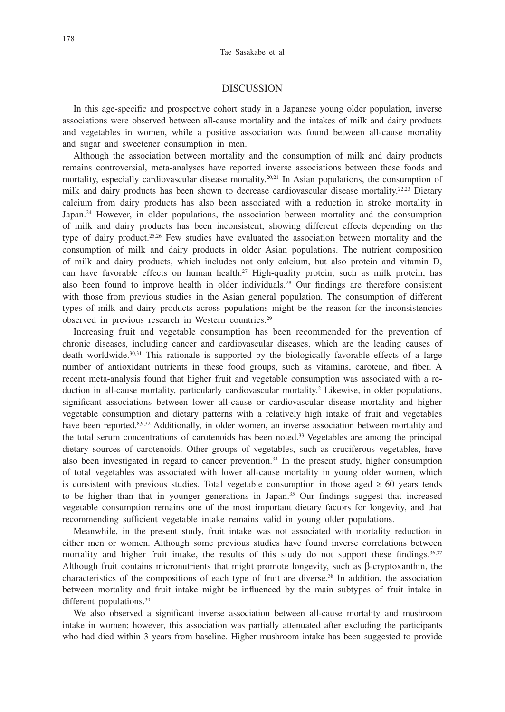#### DISCUSSION

In this age-specific and prospective cohort study in a Japanese young older population, inverse associations were observed between all-cause mortality and the intakes of milk and dairy products and vegetables in women, while a positive association was found between all-cause mortality and sugar and sweetener consumption in men.

Although the association between mortality and the consumption of milk and dairy products remains controversial, meta-analyses have reported inverse associations between these foods and mortality, especially cardiovascular disease mortality.<sup>20,21</sup> In Asian populations, the consumption of milk and dairy products has been shown to decrease cardiovascular disease mortality.<sup>22,23</sup> Dietary calcium from dairy products has also been associated with a reduction in stroke mortality in Japan.<sup>24</sup> However, in older populations, the association between mortality and the consumption of milk and dairy products has been inconsistent, showing different effects depending on the type of dairy product.<sup>25,26</sup> Few studies have evaluated the association between mortality and the consumption of milk and dairy products in older Asian populations. The nutrient composition of milk and dairy products, which includes not only calcium, but also protein and vitamin D, can have favorable effects on human health.<sup>27</sup> High-quality protein, such as milk protein, has also been found to improve health in older individuals.28 Our findings are therefore consistent with those from previous studies in the Asian general population. The consumption of different types of milk and dairy products across populations might be the reason for the inconsistencies observed in previous research in Western countries.<sup>29</sup>

Increasing fruit and vegetable consumption has been recommended for the prevention of chronic diseases, including cancer and cardiovascular diseases, which are the leading causes of death worldwide.<sup>30,31</sup> This rationale is supported by the biologically favorable effects of a large number of antioxidant nutrients in these food groups, such as vitamins, carotene, and fiber. A recent meta-analysis found that higher fruit and vegetable consumption was associated with a reduction in all-cause mortality, particularly cardiovascular mortality.<sup>2</sup> Likewise, in older populations, significant associations between lower all-cause or cardiovascular disease mortality and higher vegetable consumption and dietary patterns with a relatively high intake of fruit and vegetables have been reported.<sup>8,9,32</sup> Additionally, in older women, an inverse association between mortality and the total serum concentrations of carotenoids has been noted.<sup>33</sup> Vegetables are among the principal dietary sources of carotenoids. Other groups of vegetables, such as cruciferous vegetables, have also been investigated in regard to cancer prevention.<sup>34</sup> In the present study, higher consumption of total vegetables was associated with lower all-cause mortality in young older women, which is consistent with previous studies. Total vegetable consumption in those aged  $\geq 60$  years tends to be higher than that in younger generations in Japan.<sup>35</sup> Our findings suggest that increased vegetable consumption remains one of the most important dietary factors for longevity, and that recommending sufficient vegetable intake remains valid in young older populations.

Meanwhile, in the present study, fruit intake was not associated with mortality reduction in either men or women. Although some previous studies have found inverse correlations between mortality and higher fruit intake, the results of this study do not support these findings.<sup>36,37</sup> Although fruit contains micronutrients that might promote longevity, such as β-cryptoxanthin, the characteristics of the compositions of each type of fruit are diverse.<sup>38</sup> In addition, the association between mortality and fruit intake might be influenced by the main subtypes of fruit intake in different populations.<sup>39</sup>

We also observed a significant inverse association between all-cause mortality and mushroom intake in women; however, this association was partially attenuated after excluding the participants who had died within 3 years from baseline. Higher mushroom intake has been suggested to provide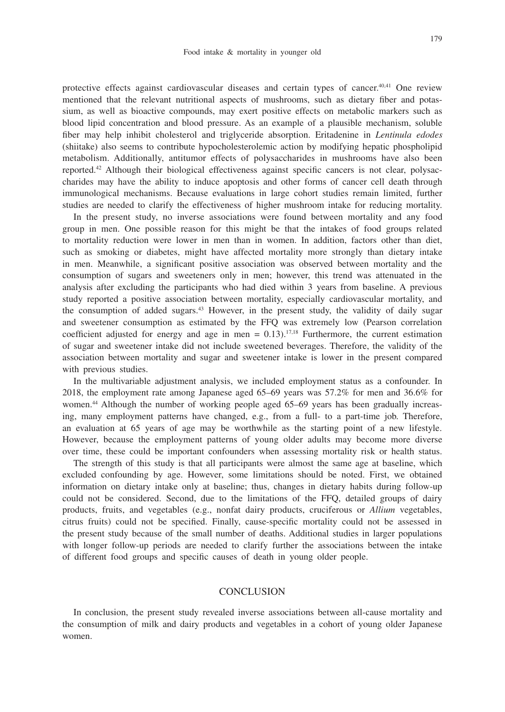protective effects against cardiovascular diseases and certain types of cancer.40,41 One review mentioned that the relevant nutritional aspects of mushrooms, such as dietary fiber and potassium, as well as bioactive compounds, may exert positive effects on metabolic markers such as blood lipid concentration and blood pressure. As an example of a plausible mechanism, soluble fiber may help inhibit cholesterol and triglyceride absorption. Eritadenine in *Lentinula edodes* (shiitake) also seems to contribute hypocholesterolemic action by modifying hepatic phospholipid metabolism. Additionally, antitumor effects of polysaccharides in mushrooms have also been reported.42 Although their biological effectiveness against specific cancers is not clear, polysaccharides may have the ability to induce apoptosis and other forms of cancer cell death through immunological mechanisms. Because evaluations in large cohort studies remain limited, further studies are needed to clarify the effectiveness of higher mushroom intake for reducing mortality.

In the present study, no inverse associations were found between mortality and any food group in men. One possible reason for this might be that the intakes of food groups related to mortality reduction were lower in men than in women. In addition, factors other than diet, such as smoking or diabetes, might have affected mortality more strongly than dietary intake in men. Meanwhile, a significant positive association was observed between mortality and the consumption of sugars and sweeteners only in men; however, this trend was attenuated in the analysis after excluding the participants who had died within 3 years from baseline. A previous study reported a positive association between mortality, especially cardiovascular mortality, and the consumption of added sugars.43 However, in the present study, the validity of daily sugar and sweetener consumption as estimated by the FFQ was extremely low (Pearson correlation coefficient adjusted for energy and age in men =  $0.13$ ).<sup>17,18</sup> Furthermore, the current estimation of sugar and sweetener intake did not include sweetened beverages. Therefore, the validity of the association between mortality and sugar and sweetener intake is lower in the present compared with previous studies.

In the multivariable adjustment analysis, we included employment status as a confounder. In 2018, the employment rate among Japanese aged 65–69 years was 57.2% for men and 36.6% for women.<sup>44</sup> Although the number of working people aged 65–69 years has been gradually increasing, many employment patterns have changed, e.g., from a full- to a part-time job. Therefore, an evaluation at 65 years of age may be worthwhile as the starting point of a new lifestyle. However, because the employment patterns of young older adults may become more diverse over time, these could be important confounders when assessing mortality risk or health status.

The strength of this study is that all participants were almost the same age at baseline, which excluded confounding by age. However, some limitations should be noted. First, we obtained information on dietary intake only at baseline; thus, changes in dietary habits during follow-up could not be considered. Second, due to the limitations of the FFQ, detailed groups of dairy products, fruits, and vegetables (e.g., nonfat dairy products, cruciferous or *Allium* vegetables, citrus fruits) could not be specified. Finally, cause-specific mortality could not be assessed in the present study because of the small number of deaths. Additional studies in larger populations with longer follow-up periods are needed to clarify further the associations between the intake of different food groups and specific causes of death in young older people.

## **CONCLUSION**

In conclusion, the present study revealed inverse associations between all-cause mortality and the consumption of milk and dairy products and vegetables in a cohort of young older Japanese women.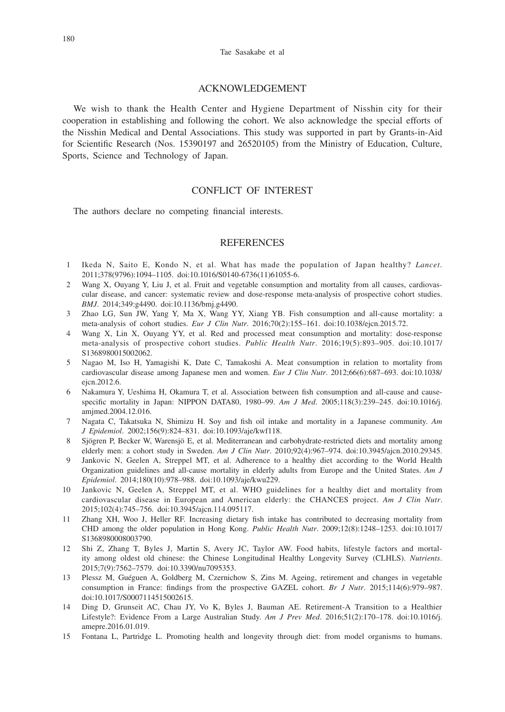#### Tae Sasakabe et al

#### ACKNOWLEDGEMENT

We wish to thank the Health Center and Hygiene Department of Nisshin city for their cooperation in establishing and following the cohort. We also acknowledge the special efforts of the Nisshin Medical and Dental Associations. This study was supported in part by Grants-in-Aid for Scientific Research (Nos. 15390197 and 26520105) from the Ministry of Education, Culture, Sports, Science and Technology of Japan.

# CONFLICT OF INTEREST

The authors declare no competing financial interests.

## **REFERENCES**

- 1 Ikeda N, Saito E, Kondo N, et al. What has made the population of Japan healthy? *Lancet*. 2011;378(9796):1094–1105. doi:10.1016/S0140-6736(11)61055-6.
- 2 Wang X, Ouyang Y, Liu J, et al. Fruit and vegetable consumption and mortality from all causes, cardiovascular disease, and cancer: systematic review and dose-response meta-analysis of prospective cohort studies. *BMJ*. 2014;349:g4490. doi:10.1136/bmj.g4490.
- 3 Zhao LG, Sun JW, Yang Y, Ma X, Wang YY, Xiang YB. Fish consumption and all-cause mortality: a meta-analysis of cohort studies. *Eur J Clin Nutr*. 2016;70(2):155–161. doi:10.1038/ejcn.2015.72.
- 4 Wang X, Lin X, Ouyang YY, et al. Red and processed meat consumption and mortality: dose-response meta-analysis of prospective cohort studies. *Public Health Nutr*. 2016;19(5):893–905. doi:10.1017/ S1368980015002062.
- 5 Nagao M, Iso H, Yamagishi K, Date C, Tamakoshi A. Meat consumption in relation to mortality from cardiovascular disease among Japanese men and women. *Eur J Clin Nutr*. 2012;66(6):687–693. doi:10.1038/ ejcn.2012.6.
- 6 Nakamura Y, Ueshima H, Okamura T, et al. Association between fish consumption and all-cause and causespecific mortality in Japan: NIPPON DATA80, 1980–99. *Am J Med*. 2005;118(3):239–245. doi:10.1016/j. amjmed.2004.12.016.
- 7 Nagata C, Takatsuka N, Shimizu H. Soy and fish oil intake and mortality in a Japanese community. *Am J Epidemiol*. 2002;156(9):824–831. doi:10.1093/aje/kwf118.
- 8 Sjögren P, Becker W, Warensjö E, et al. Mediterranean and carbohydrate-restricted diets and mortality among elderly men: a cohort study in Sweden. *Am J Clin Nutr*. 2010;92(4):967–974. doi:10.3945/ajcn.2010.29345.
- 9 Jankovic N, Geelen A, Streppel MT, et al. Adherence to a healthy diet according to the World Health Organization guidelines and all-cause mortality in elderly adults from Europe and the United States. *Am J Epidemiol*. 2014;180(10):978–988. doi:10.1093/aje/kwu229.
- 10 Jankovic N, Geelen A, Streppel MT, et al. WHO guidelines for a healthy diet and mortality from cardiovascular disease in European and American elderly: the CHANCES project. *Am J Clin Nutr*. 2015;102(4):745–756. doi:10.3945/ajcn.114.095117.
- 11 Zhang XH, Woo J, Heller RF. Increasing dietary fish intake has contributed to decreasing mortality from CHD among the older population in Hong Kong. *Public Health Nutr*. 2009;12(8):1248–1253. doi:10.1017/ S1368980008003790.
- 12 Shi Z, Zhang T, Byles J, Martin S, Avery JC, Taylor AW. Food habits, lifestyle factors and mortality among oldest old chinese: the Chinese Longitudinal Healthy Longevity Survey (CLHLS). *Nutrients*. 2015;7(9):7562–7579. doi:10.3390/nu7095353.
- 13 Plessz M, Guéguen A, Goldberg M, Czernichow S, Zins M. Ageing, retirement and changes in vegetable consumption in France: findings from the prospective GAZEL cohort. *Br J Nutr*. 2015;114(6):979–987. doi:10.1017/S0007114515002615.
- 14 Ding D, Grunseit AC, Chau JY, Vo K, Byles J, Bauman AE. Retirement-A Transition to a Healthier Lifestyle?: Evidence From a Large Australian Study. *Am J Prev Med*. 2016;51(2):170–178. doi:10.1016/j. amepre.2016.01.019.
- 15 Fontana L, Partridge L. Promoting health and longevity through diet: from model organisms to humans.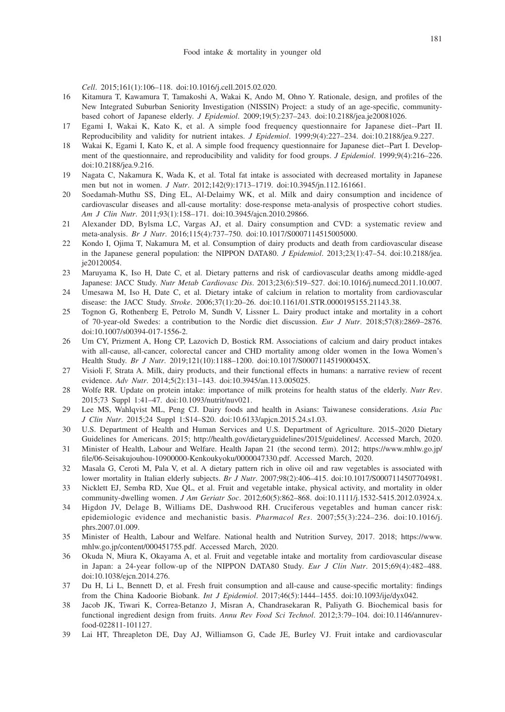*Cell*. 2015;161(1):106–118. doi:10.1016/j.cell.2015.02.020.

- 16 Kitamura T, Kawamura T, Tamakoshi A, Wakai K, Ando M, Ohno Y. Rationale, design, and profiles of the New Integrated Suburban Seniority Investigation (NISSIN) Project: a study of an age-specific, communitybased cohort of Japanese elderly. *J Epidemiol*. 2009;19(5):237–243. doi:10.2188/jea.je20081026.
- 17 Egami I, Wakai K, Kato K, et al. A simple food frequency questionnaire for Japanese diet--Part II. Reproducibility and validity for nutrient intakes. *J Epidemiol*. 1999;9(4):227–234. doi:10.2188/jea.9.227.
- 18 Wakai K, Egami I, Kato K, et al. A simple food frequency questionnaire for Japanese diet--Part I. Development of the questionnaire, and reproducibility and validity for food groups. *J Epidemiol*. 1999;9(4):216–226. doi:10.2188/jea.9.216.
- 19 Nagata C, Nakamura K, Wada K, et al. Total fat intake is associated with decreased mortality in Japanese men but not in women. *J Nutr*. 2012;142(9):1713–1719. doi:10.3945/jn.112.161661.
- 20 Soedamah-Muthu SS, Ding EL, Al-Delaimy WK, et al. Milk and dairy consumption and incidence of cardiovascular diseases and all-cause mortality: dose-response meta-analysis of prospective cohort studies. *Am J Clin Nutr*. 2011;93(1):158–171. doi:10.3945/ajcn.2010.29866.
- 21 Alexander DD, Bylsma LC, Vargas AJ, et al. Dairy consumption and CVD: a systematic review and meta-analysis. *Br J Nutr*. 2016;115(4):737–750. doi:10.1017/S0007114515005000.
- 22 Kondo I, Ojima T, Nakamura M, et al. Consumption of dairy products and death from cardiovascular disease in the Japanese general population: the NIPPON DATA80. *J Epidemiol*. 2013;23(1):47–54. doi:10.2188/jea. je20120054.
- 23 Maruyama K, Iso H, Date C, et al. Dietary patterns and risk of cardiovascular deaths among middle-aged Japanese: JACC Study. *Nutr Metab Cardiovasc Dis*. 2013;23(6):519–527. doi:10.1016/j.numecd.2011.10.007.
- 24 Umesawa M, Iso H, Date C, et al. Dietary intake of calcium in relation to mortality from cardiovascular disease: the JACC Study. *Stroke*. 2006;37(1):20–26. doi:10.1161/01.STR.0000195155.21143.38.
- 25 Tognon G, Rothenberg E, Petrolo M, Sundh V, Lissner L. Dairy product intake and mortality in a cohort of 70-year-old Swedes: a contribution to the Nordic diet discussion. *Eur J Nutr*. 2018;57(8):2869–2876. doi:10.1007/s00394-017-1556-2.
- 26 Um CY, Prizment A, Hong CP, Lazovich D, Bostick RM. Associations of calcium and dairy product intakes with all-cause, all-cancer, colorectal cancer and CHD mortality among older women in the Iowa Women's Health Study. *Br J Nutr*. 2019;121(10):1188–1200. doi:10.1017/S000711451900045X.
- 27 Visioli F, Strata A. Milk, dairy products, and their functional effects in humans: a narrative review of recent evidence. *Adv Nutr*. 2014;5(2):131–143. doi:10.3945/an.113.005025.
- 28 Wolfe RR. Update on protein intake: importance of milk proteins for health status of the elderly. *Nutr Rev*. 2015;73 Suppl 1:41–47. doi:10.1093/nutrit/nuv021.
- 29 Lee MS, Wahlqvist ML, Peng CJ. Dairy foods and health in Asians: Taiwanese considerations. *Asia Pac J Clin Nutr*. 2015;24 Suppl 1:S14–S20. doi:10.6133/apjcn.2015.24.s1.03.
- 30 U.S. Department of Health and Human Services and U.S. Department of Agriculture. 2015–2020 Dietary Guidelines for Americans. 2015; http://health.gov/dietaryguidelines/2015/guidelines/. Accessed March, 2020.
- 31 Minister of Health, Labour and Welfare. Health Japan 21 (the second term). 2012; https://www.mhlw.go.jp/ file/06-Seisakujouhou-10900000-Kenkoukyoku/0000047330.pdf. Accessed March, 2020.
- 32 Masala G, Ceroti M, Pala V, et al. A dietary pattern rich in olive oil and raw vegetables is associated with lower mortality in Italian elderly subjects. *Br J Nutr*. 2007;98(2):406–415. doi:10.1017/S0007114507704981.
- 33 Nicklett EJ, Semba RD, Xue QL, et al. Fruit and vegetable intake, physical activity, and mortality in older community-dwelling women. *J Am Geriatr Soc*. 2012;60(5):862–868. doi:10.1111/j.1532-5415.2012.03924.x.
- 34 Higdon JV, Delage B, Williams DE, Dashwood RH. Cruciferous vegetables and human cancer risk: epidemiologic evidence and mechanistic basis. *Pharmacol Res*. 2007;55(3):224–236. doi:10.1016/j. phrs.2007.01.009.
- 35 Minister of Health, Labour and Welfare. National health and Nutrition Survey, 2017. 2018; https://www. mhlw.go.jp/content/000451755.pdf. Accessed March, 2020.
- 36 Okuda N, Miura K, Okayama A, et al. Fruit and vegetable intake and mortality from cardiovascular disease in Japan: a 24-year follow-up of the NIPPON DATA80 Study. *Eur J Clin Nutr*. 2015;69(4):482–488. doi:10.1038/ejcn.2014.276.
- 37 Du H, Li L, Bennett D, et al. Fresh fruit consumption and all-cause and cause-specific mortality: findings from the China Kadoorie Biobank. *Int J Epidemiol*. 2017;46(5):1444–1455. doi:10.1093/ije/dyx042.
- 38 Jacob JK, Tiwari K, Correa-Betanzo J, Misran A, Chandrasekaran R, Paliyath G. Biochemical basis for functional ingredient design from fruits. *Annu Rev Food Sci Technol*. 2012;3:79–104. doi:10.1146/annurevfood-022811-101127.
- 39 Lai HT, Threapleton DE, Day AJ, Williamson G, Cade JE, Burley VJ. Fruit intake and cardiovascular